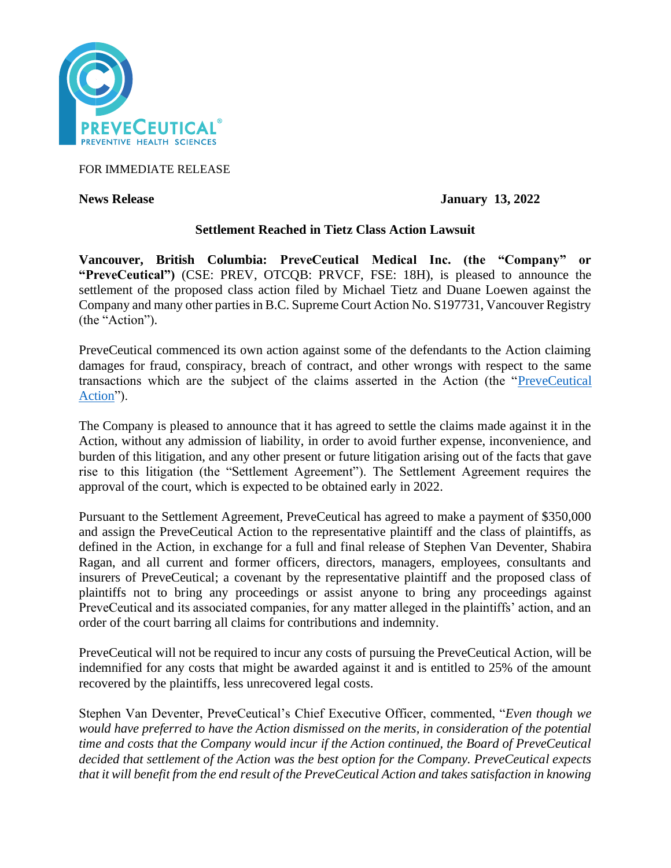

FOR IMMEDIATE RELEASE

**News Release January 13, 2022**

# **Settlement Reached in Tietz Class Action Lawsuit**

**Vancouver, British Columbia: PreveCeutical Medical Inc. (the "Company" or "PreveCeutical")** (CSE: PREV, OTCQB: PRVCF, FSE: 18H), is pleased to announce the settlement of the proposed class action filed by Michael Tietz and Duane Loewen against the Company and many other parties in B.C. Supreme Court Action No. S197731, Vancouver Registry (the "Action").

PreveCeutical commenced its own action against some of the defendants to the Action claiming damages for fraud, conspiracy, breach of contract, and other wrongs with respect to the same transactions which are the subject of the claims asserted in the Action (the ["PreveCeutical](https://www.preveceutical.com/investors/news/preveceutical-files-notice-of-civil-claim-against-the-bridgemark-group)  [Action"](https://www.preveceutical.com/investors/news/preveceutical-files-notice-of-civil-claim-against-the-bridgemark-group)).

The Company is pleased to announce that it has agreed to settle the claims made against it in the Action, without any admission of liability, in order to avoid further expense, inconvenience, and burden of this litigation, and any other present or future litigation arising out of the facts that gave rise to this litigation (the "Settlement Agreement"). The Settlement Agreement requires the approval of the court, which is expected to be obtained early in 2022.

Pursuant to the Settlement Agreement, PreveCeutical has agreed to make a payment of \$350,000 and assign the PreveCeutical Action to the representative plaintiff and the class of plaintiffs, as defined in the Action, in exchange for a full and final release of Stephen Van Deventer, Shabira Ragan, and all current and former officers, directors, managers, employees, consultants and insurers of PreveCeutical; a covenant by the representative plaintiff and the proposed class of plaintiffs not to bring any proceedings or assist anyone to bring any proceedings against PreveCeutical and its associated companies, for any matter alleged in the plaintiffs' action, and an order of the court barring all claims for contributions and indemnity.

PreveCeutical will not be required to incur any costs of pursuing the PreveCeutical Action, will be indemnified for any costs that might be awarded against it and is entitled to 25% of the amount recovered by the plaintiffs, less unrecovered legal costs.

Stephen Van Deventer, PreveCeutical's Chief Executive Officer, commented, "*Even though we would have preferred to have the Action dismissed on the merits, in consideration of the potential time and costs that the Company would incur if the Action continued, the Board of PreveCeutical decided that settlement of the Action was the best option for the Company. PreveCeutical expects that it will benefit from the end result of the PreveCeutical Action and takes satisfaction in knowing*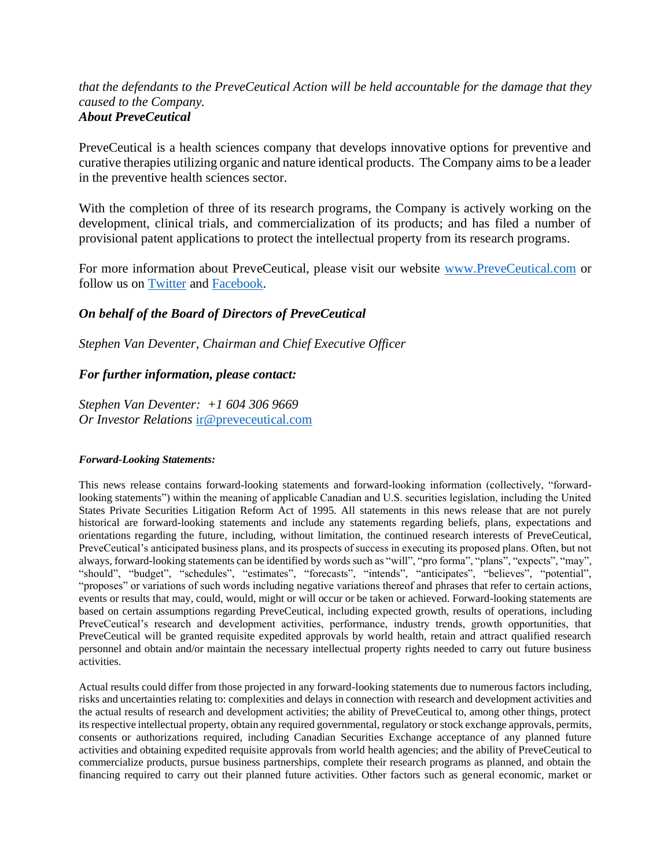### *that the defendants to the PreveCeutical Action will be held accountable for the damage that they caused to the Company. About PreveCeutical*

PreveCeutical is a health sciences company that develops innovative options for preventive and curative therapies utilizing organic and nature identical products. The Company aims to be a leader in the preventive health sciences sector.

With the completion of three of its research programs, the Company is actively working on the development, clinical trials, and commercialization of its products; and has filed a number of provisional patent applications to protect the intellectual property from its research programs.

For more information about PreveCeutical, please visit our website [www.PreveCeutical.com](http://www.preveceutical.com/) or follow us on [Twitter](http://twitter.com/PreveCeuticals) and [Facebook.](http://www.facebook.com/PreveCeutical)

# *On behalf of the Board of Directors of PreveCeutical*

*Stephen Van Deventer, Chairman and Chief Executive Officer*

# *For further information, please contact:*

*Stephen Van Deventer: +1 604 306 9669 Or Investor Relations* [ir@preveceutical.com](mailto:ir@preveceutical.com)

### *Forward-Looking Statements:*

This news release contains forward-looking statements and forward-looking information (collectively, "forwardlooking statements") within the meaning of applicable Canadian and U.S. securities legislation, including the United States Private Securities Litigation Reform Act of 1995. All statements in this news release that are not purely historical are forward-looking statements and include any statements regarding beliefs, plans, expectations and orientations regarding the future, including, without limitation, the continued research interests of PreveCeutical, PreveCeutical's anticipated business plans, and its prospects of success in executing its proposed plans. Often, but not always, forward-looking statements can be identified by words such as "will", "pro forma", "plans", "expects", "may", "should", "budget", "schedules", "estimates", "forecasts", "intends", "anticipates", "believes", "potential", "proposes" or variations of such words including negative variations thereof and phrases that refer to certain actions, events or results that may, could, would, might or will occur or be taken or achieved. Forward-looking statements are based on certain assumptions regarding PreveCeutical, including expected growth, results of operations, including PreveCeutical's research and development activities, performance, industry trends, growth opportunities, that PreveCeutical will be granted requisite expedited approvals by world health, retain and attract qualified research personnel and obtain and/or maintain the necessary intellectual property rights needed to carry out future business activities.

Actual results could differ from those projected in any forward-looking statements due to numerous factors including, risks and uncertainties relating to: complexities and delays in connection with research and development activities and the actual results of research and development activities; the ability of PreveCeutical to, among other things, protect its respective intellectual property, obtain any required governmental, regulatory or stock exchange approvals, permits, consents or authorizations required, including Canadian Securities Exchange acceptance of any planned future activities and obtaining expedited requisite approvals from world health agencies; and the ability of PreveCeutical to commercialize products, pursue business partnerships, complete their research programs as planned, and obtain the financing required to carry out their planned future activities. Other factors such as general economic, market or